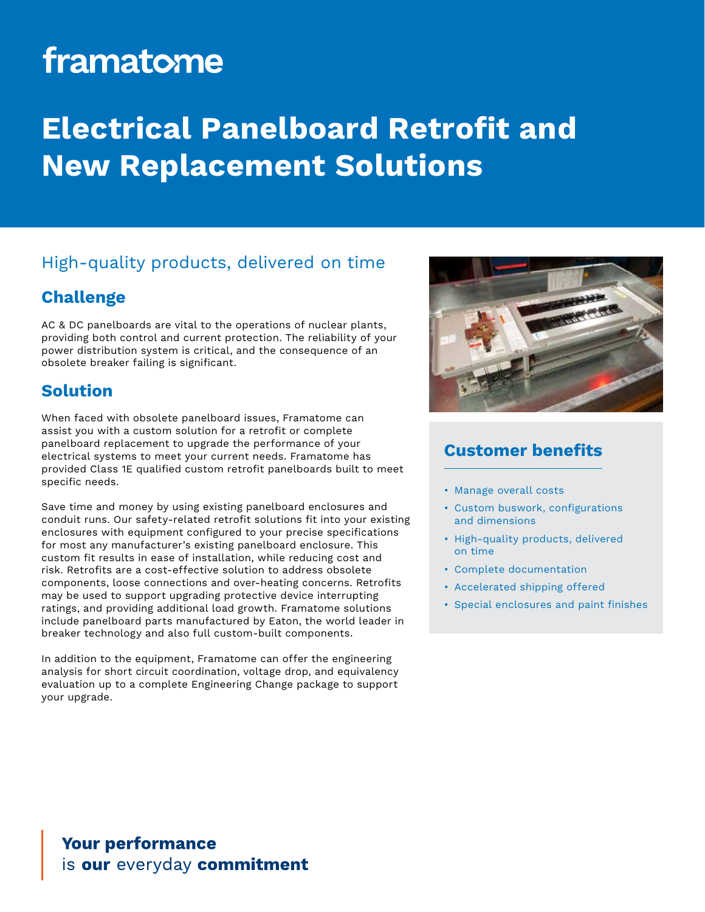# framatome

## **Electrical Panelboard Retrofit and New Replacement Solutions**

### High-quality products, delivered on time

#### **Challenge**

AC & DC panelboards are vital to the operations of nuclear plants, providing both control and current protection. The reliability of your power distribution system is critical, and the consequence of an obsolete breaker failing is significant.

#### **Solution**

When faced with obsolete panelboard issues, Framatome can assist you with a custom solution for a retrofit or complete panelboard replacement to upgrade the performance of your electrical systems to meet your current needs. Framatome has provided Class 1E qualified custom retrofit panelboards built to meet specific needs.

Save time and money by using existing panelboard enclosures and conduit runs. Our safety-related retrofit solutions fit into your existing enclosures with equipment configured to your precise specifications for most any manufacturer's existing panelboard enclosure. This custom fit results in ease of installation, while reducing cost and risk. Retrofits are a cost-effective solution to address obsolete components, loose connections and over-heating concerns. Retrofits may be used to support upgrading protective device interrupting ratings, and providing additional load growth. Framatome solutions include panelboard parts manufactured by Eaton, the world leader in breaker technology and also full custom-built components.

In addition to the equipment, Framatome can offer the engineering analysis for short circuit coordination, voltage drop, and equivalency evaluation up to a complete Engineering Change package to support your upgrade.



### **Customer benefits**

- Manage overall costs
- Custom buswork, configurations and dimensions
- High-quality products, delivered on time
- Complete documentation
- Accelerated shipping offered
- Special enclosures and paint finishes